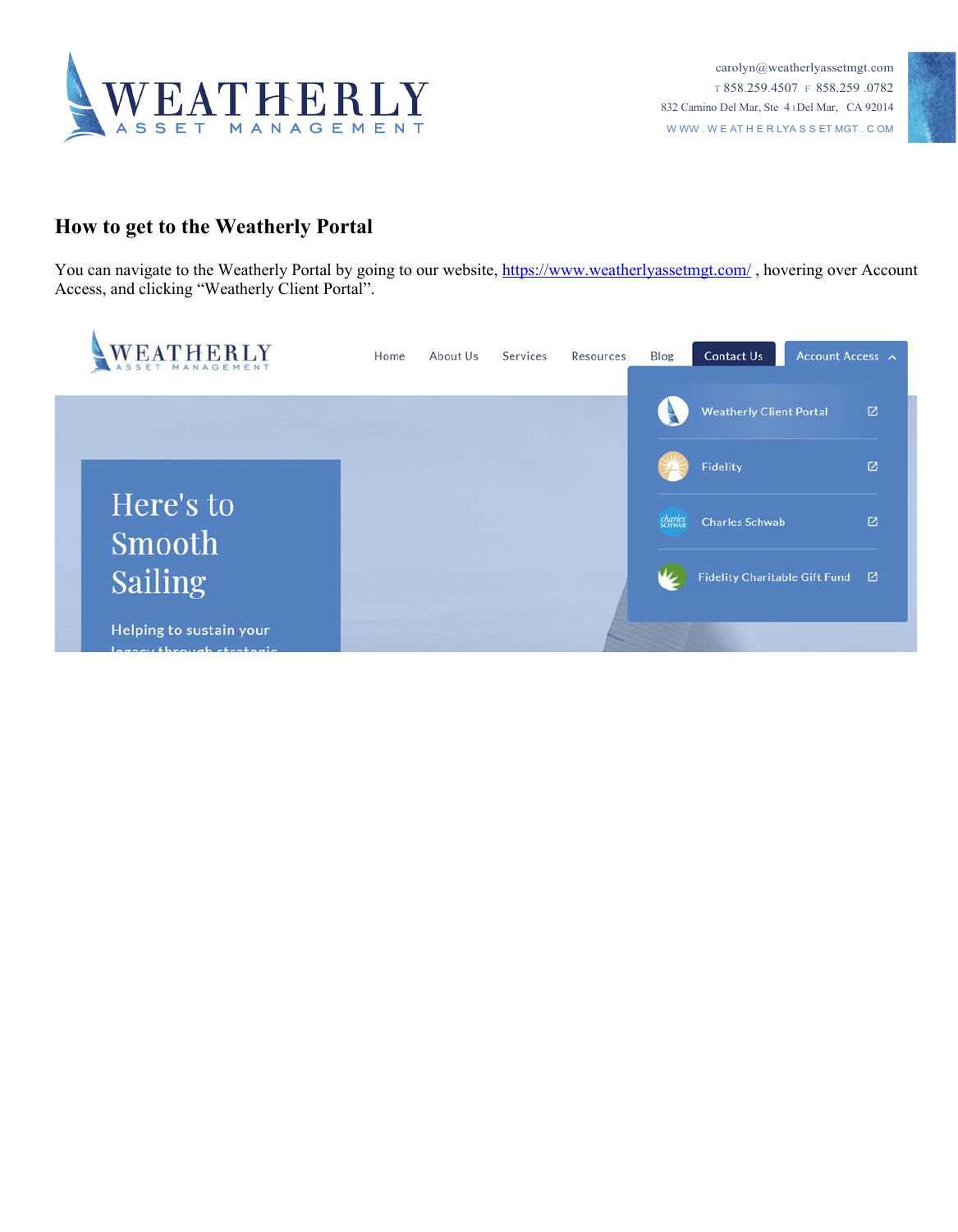



## **How to get to the Weatherly Portal**

You can navigate to the Weatherly Portal by going to our website,<https://www.weatherlyassetmgt.com/>, hovering over Account Access, and clicking "Weatherly Client Portal".

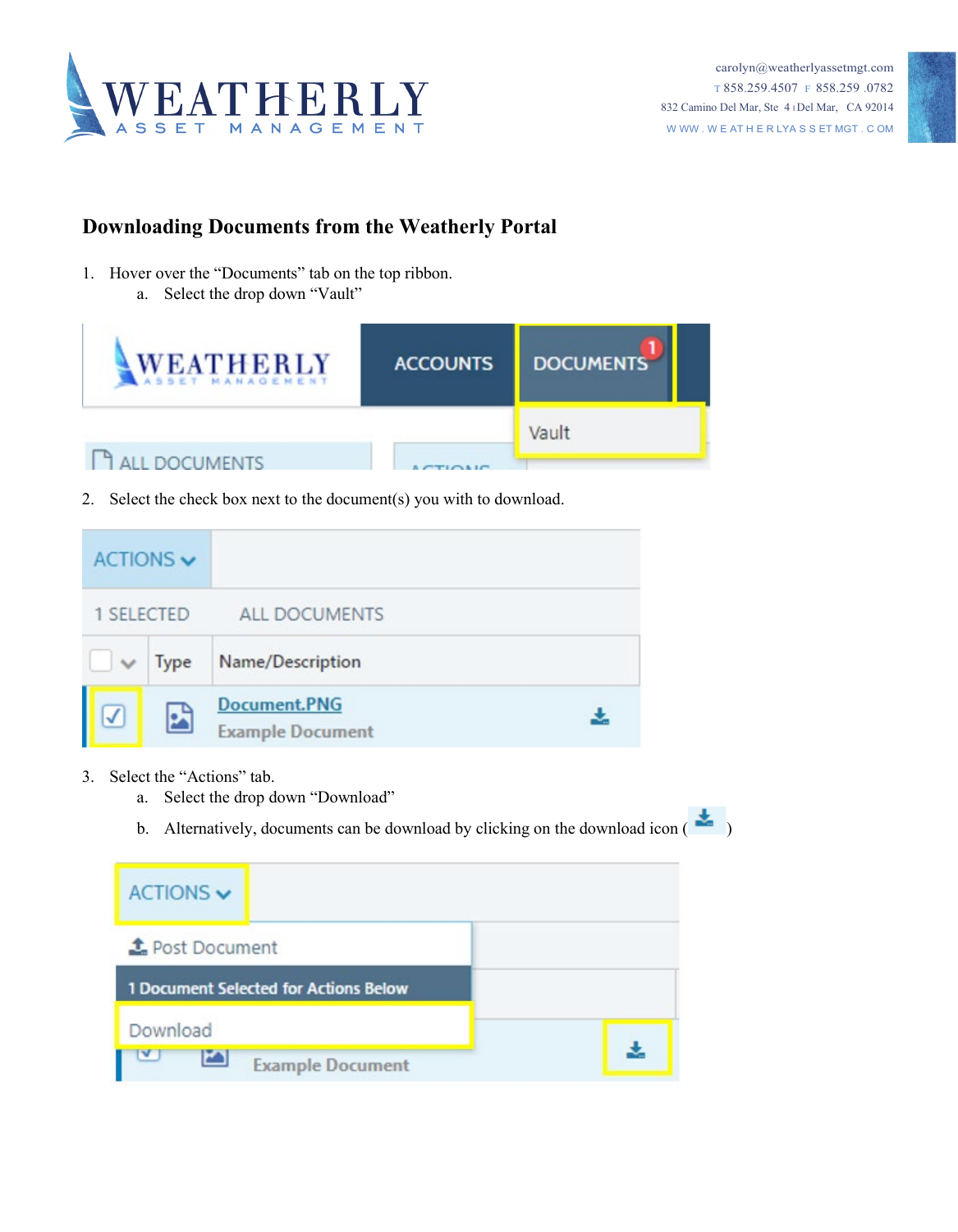



## **Downloading Documents from the Weatherly Portal**

- 1. Hover over the "Documents" tab on the top ribbon.
	- a. Select the drop down "Vault"



2. Select the check box next to the document(s) you with to download.

| ACTIONS $\blacktriangledown$ |             |                                         |  |
|------------------------------|-------------|-----------------------------------------|--|
| 1 SELECTED                   |             | <b>ALL DOCUMENTS</b>                    |  |
| $\checkmark$                 | <b>Type</b> | Name/Description                        |  |
| $\checkmark$                 |             | Document.PNG<br><b>Example Document</b> |  |

- 3. Select the "Actions" tab.
	- a. Select the drop down "Download"
	- b. Alternatively, documents can be download by clicking on the download icon  $(\bullet)$